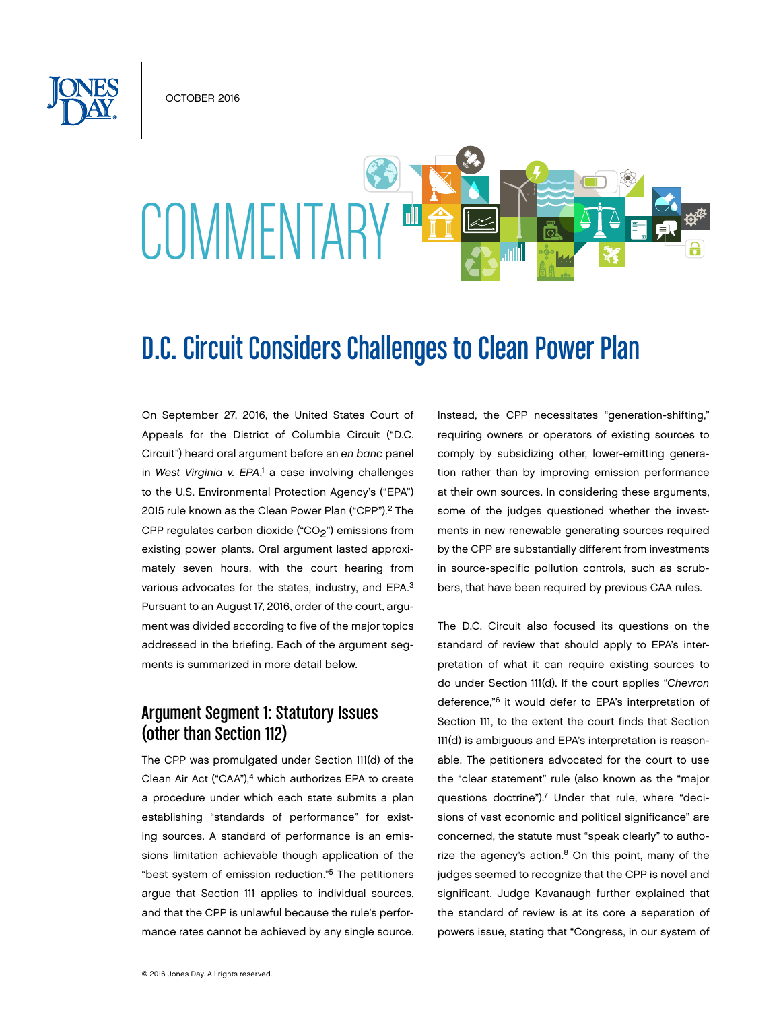October 2016

# COMMENTARY ET

# D.C. Circuit Considers Challenges to Clean Power Plan

On September 27, 2016, the United States Court of Appeals for the District of Columbia Circuit ("D.C. Circuit") heard oral argument before an *en banc* panel in West Virginia v. EPA,<sup>1</sup> a case involving challenges to the U.S. Environmental Protection Agency's ("EPA") 2015 rule known as the Clean Power Plan ("CPP").<sup>2</sup> The CPP regulates carbon dioxide ("CO2") emissions from existing power plants. Oral argument lasted approximately seven hours, with the court hearing from various advocates for the states, industry, and EPA.3 Pursuant to an August 17, 2016, order of the court, argument was divided according to five of the major topics addressed in the briefing. Each of the argument segments is summarized in more detail below.

### Argument Segment 1: Statutory Issues (other than Section 112)

The CPP was promulgated under Section 111(d) of the Clean Air Act ("CAA"),4 which authorizes EPA to create a procedure under which each state submits a plan establishing "standards of performance" for existing sources. A standard of performance is an emissions limitation achievable though application of the "best system of emission reduction."5 The petitioners argue that Section 111 applies to individual sources, and that the CPP is unlawful because the rule's performance rates cannot be achieved by any single source. Instead, the CPP necessitates "generation-shifting," requiring owners or operators of existing sources to comply by subsidizing other, lower-emitting generation rather than by improving emission performance at their own sources. In considering these arguments, some of the judges questioned whether the investments in new renewable generating sources required by the CPP are substantially different from investments in source-specific pollution controls, such as scrubbers, that have been required by previous CAA rules.

The D.C. Circuit also focused its questions on the standard of review that should apply to EPA's interpretation of what it can require existing sources to do under Section 111(d). If the court applies "*Chevron* deference,"6 it would defer to EPA's interpretation of Section 111, to the extent the court finds that Section 111(d) is ambiguous and EPA's interpretation is reasonable. The petitioners advocated for the court to use the "clear statement" rule (also known as the "major questions doctrine").7 Under that rule, where "decisions of vast economic and political significance" are concerned, the statute must "speak clearly" to authorize the agency's action. $8$  On this point, many of the judges seemed to recognize that the CPP is novel and significant. Judge Kavanaugh further explained that the standard of review is at its core a separation of powers issue, stating that "Congress, in our system of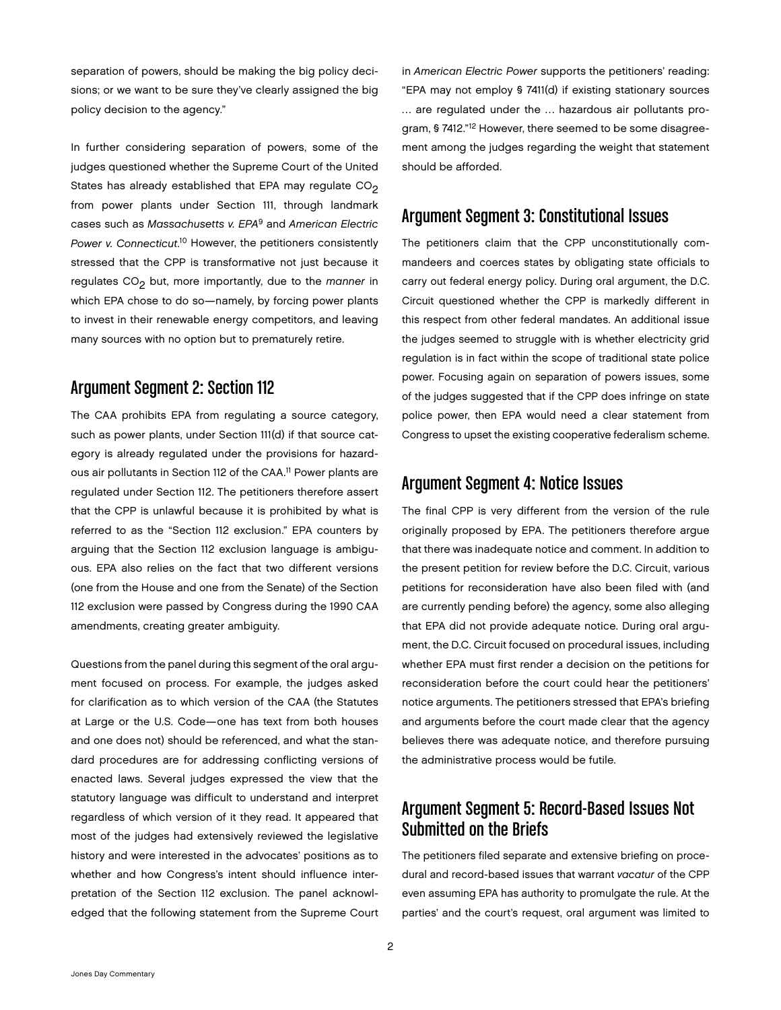separation of powers, should be making the big policy decisions; or we want to be sure they've clearly assigned the big policy decision to the agency."

In further considering separation of powers, some of the judges questioned whether the Supreme Court of the United States has already established that EPA may regulate  $CO<sub>2</sub>$ from power plants under Section 111, through landmark cases such as *Massachusetts v. EPA*9 and *American Electric*  Power v. Connecticut.<sup>10</sup> However, the petitioners consistently stressed that the CPP is transformative not just because it regulates CO2 but, more importantly, due to the *manner* in which EPA chose to do so—namely, by forcing power plants to invest in their renewable energy competitors, and leaving many sources with no option but to prematurely retire.

### Argument Segment 2: Section 112

The CAA prohibits EPA from regulating a source category, such as power plants, under Section 111(d) if that source category is already regulated under the provisions for hazardous air pollutants in Section 112 of the CAA.<sup>11</sup> Power plants are regulated under Section 112. The petitioners therefore assert that the CPP is unlawful because it is prohibited by what is referred to as the "Section 112 exclusion." EPA counters by arguing that the Section 112 exclusion language is ambiguous. EPA also relies on the fact that two different versions (one from the House and one from the Senate) of the Section 112 exclusion were passed by Congress during the 1990 CAA amendments, creating greater ambiguity.

Questions from the panel during this segment of the oral argument focused on process. For example, the judges asked for clarification as to which version of the CAA (the Statutes at Large or the U.S. Code—one has text from both houses and one does not) should be referenced, and what the standard procedures are for addressing conflicting versions of enacted laws. Several judges expressed the view that the statutory language was difficult to understand and interpret regardless of which version of it they read. It appeared that most of the judges had extensively reviewed the legislative history and were interested in the advocates' positions as to whether and how Congress's intent should influence interpretation of the Section 112 exclusion. The panel acknowledged that the following statement from the Supreme Court

in *American Electric Power* supports the petitioners' reading: "EPA may not employ § 7411(d) if existing stationary sources … are regulated under the … hazardous air pollutants program, § 7412."12 However, there seemed to be some disagreement among the judges regarding the weight that statement should be afforded.

### Argument Segment 3: Constitutional Issues

The petitioners claim that the CPP unconstitutionally commandeers and coerces states by obligating state officials to carry out federal energy policy. During oral argument, the D.C. Circuit questioned whether the CPP is markedly different in this respect from other federal mandates. An additional issue the judges seemed to struggle with is whether electricity grid regulation is in fact within the scope of traditional state police power. Focusing again on separation of powers issues, some of the judges suggested that if the CPP does infringe on state police power, then EPA would need a clear statement from Congress to upset the existing cooperative federalism scheme.

### Argument Segment 4: Notice Issues

The final CPP is very different from the version of the rule originally proposed by EPA. The petitioners therefore argue that there was inadequate notice and comment. In addition to the present petition for review before the D.C. Circuit, various petitions for reconsideration have also been filed with (and are currently pending before) the agency, some also alleging that EPA did not provide adequate notice. During oral argument, the D.C. Circuit focused on procedural issues, including whether EPA must first render a decision on the petitions for reconsideration before the court could hear the petitioners' notice arguments. The petitioners stressed that EPA's briefing and arguments before the court made clear that the agency believes there was adequate notice, and therefore pursuing the administrative process would be futile.

## Argument Segment 5: Record-Based Issues Not Submitted on the Briefs

The petitioners filed separate and extensive briefing on procedural and record-based issues that warrant *vacatur* of the CPP even assuming EPA has authority to promulgate the rule. At the parties' and the court's request, oral argument was limited to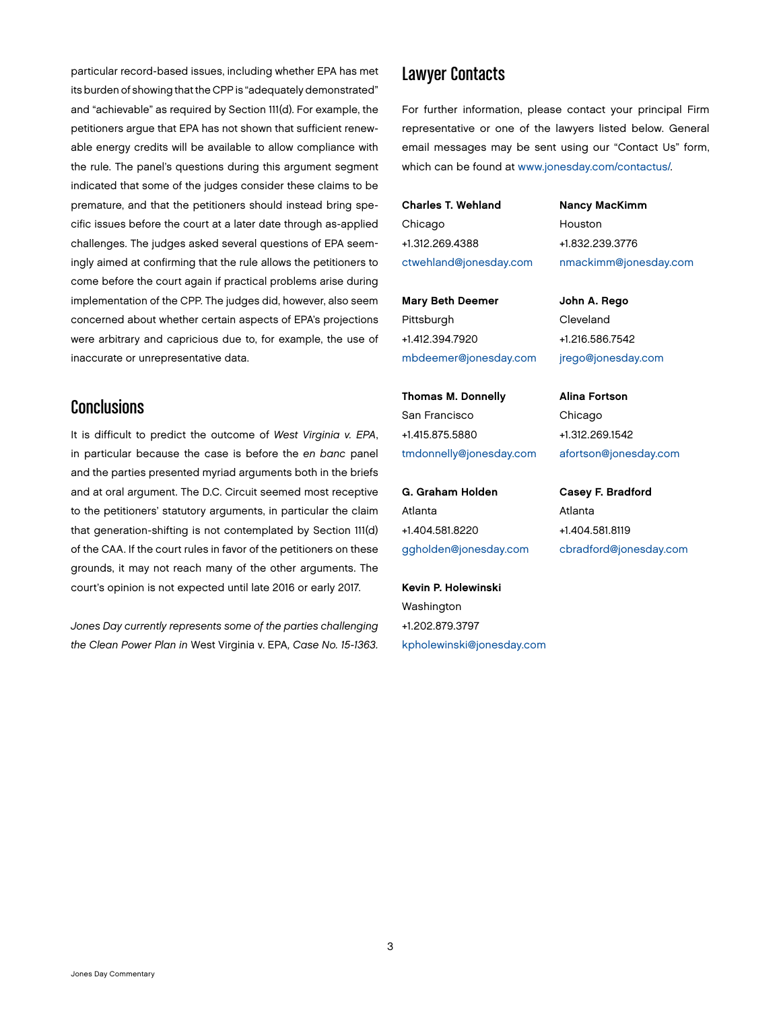particular record-based issues, including whether EPA has met its burden of showing that the CPP is "adequately demonstrated" and "achievable" as required by Section 111(d). For example, the petitioners argue that EPA has not shown that sufficient renewable energy credits will be available to allow compliance with the rule. The panel's questions during this argument segment indicated that some of the judges consider these claims to be premature, and that the petitioners should instead bring specific issues before the court at a later date through as-applied challenges. The judges asked several questions of EPA seemingly aimed at confirming that the rule allows the petitioners to come before the court again if practical problems arise during implementation of the CPP. The judges did, however, also seem concerned about whether certain aspects of EPA's projections were arbitrary and capricious due to, for example, the use of inaccurate or unrepresentative data.

### **Conclusions**

It is difficult to predict the outcome of *West Virginia v. EPA*, in particular because the case is before the *en banc* panel and the parties presented myriad arguments both in the briefs and at oral argument. The D.C. Circuit seemed most receptive to the petitioners' statutory arguments, in particular the claim that generation-shifting is not contemplated by Section 111(d) of the CAA. If the court rules in favor of the petitioners on these grounds, it may not reach many of the other arguments. The court's opinion is not expected until late 2016 or early 2017.

*Jones Day currently represents some of the parties challenging the Clean Power Plan in* West Virginia v. EPA*, Case No. 15-1363.*

### Lawyer Contacts

For further information, please contact your principal Firm representative or one of the lawyers listed below. General email messages may be sent using our "Contact Us" form, which can be found at [www.jonesday.com/contactus/.](http://www.jonesday.com/contactus/)

Charles T. Wehland Chicago +1.312.269.4388 [ctwehland@jonesday.com](mailto:ctwehland@jonesday.com)

Mary Beth Deemer Pittsburgh +1.412.394.7920 [mbdeemer@jonesday.com](mailto:mbdeemer@jonesday.com) John A. Rego Cleveland +1.216.586.7542

[jrego@jonesday.com](mailto:jrego@jonesday.com)

Alina Fortson Chicago +1.312.269.1542

[nmackimm@jonesday.com](mailto:nmackimm@jonesday.com)

Nancy MacKimm

+1.832.239.3776

Houston

Thomas M. Donnelly San Francisco +1.415.875.5880 [tmdonnelly@jonesday.com](mailto:tmdonnelly@jonesday.com)

G. Graham Holden Atlanta +1.404.581.8220 [ggholden@jonesday.com](mailto:ggholden@jonesday.com) Casey F. Bradford Atlanta +1.404.581.8119 [cbradford@jonesday.com](mailto:cbradford@jonesday.com)

[afortson@jonesday.com](mailto:afortson@jonesday.com)

Kevin P. Holewinski **Washington** +1.202.879.3797 [kpholewinski@jonesday.com](mailto:kpholewinski@jonesday.com)